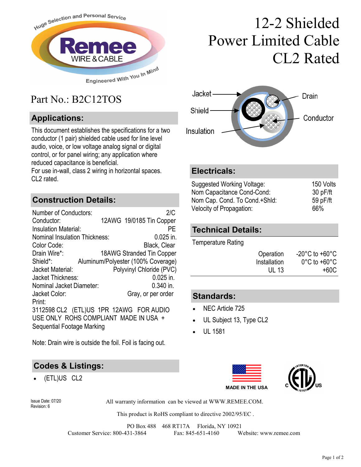

## Part No.: B2C12TOS

#### **Applications:**

This document establishes the specifications for a two conductor (1 pair) shielded cable used for line level audio, voice, or low voltage analog signal or digital control, or for panel wiring; any application where reduced capacitance is beneficial.

For use in-wall, class 2 wiring in horizontal spaces. CL2 rated.

#### **Construction Details:**

| <b>Number of Conductors:</b>          | 2/C                                     |  |
|---------------------------------------|-----------------------------------------|--|
| Conductor:                            | 12AWG 19/0185 Tin Copper                |  |
| <b>Insulation Material:</b>           | PF                                      |  |
| <b>Nominal Insulation Thickness:</b>  | $0.025$ in.                             |  |
| Color Code:                           | Black, Clear                            |  |
| Drain Wire*:                          | 18AWG Stranded Tin Copper               |  |
| Shield*:                              | Aluminum/Polyester (100% Coverage)      |  |
| Jacket Material:                      | Polyvinyl Chloride (PVC)                |  |
| Jacket Thickness:                     | $0.025$ in.                             |  |
| Nominal Jacket Diameter:              | $0.340$ in.                             |  |
| Jacket Color:                         | Gray, or per order                      |  |
| Print:                                |                                         |  |
|                                       | 3112598 CL2 (ETL)US 1PR 12AWG FOR AUDIO |  |
| USE ONLY ROHS COMPLIANT MADE IN USA + |                                         |  |
| Sequential Footage Marking            |                                         |  |

Note: Drain wire is outside the foil. Foil is facing out.

#### **Codes & Listings:**

(ETL)US CL2





#### **Electricals:**

| Suggested Working Voltage:    | 150 Volts |
|-------------------------------|-----------|
| Nom Capacitance Cond-Cond:    | 30 pF/ft  |
| Nom Cap. Cond. To Cond.+Shld: | 59 pF/ft  |
| Velocity of Propagation:      | 66%       |

#### **Technical Details:**

Temperature Rating

| Operation    | $-20^{\circ}$ C to $+60^{\circ}$ C |
|--------------|------------------------------------|
| Installation | $0^{\circ}$ C to +60 $^{\circ}$ C  |
| UL 13        | +60C                               |

#### **Standards:**

- NEC Article 725
- UL Subject 13, Type CL2
- UL 1581





Revision: 6

All warranty information can be viewed at WWW.REMEE.COM. Issue Date: 07/20

This product is RoHS compliant to directive 2002/95/EC .

PO Box 488 468 RT17A Florida, NY 10921 Customer Service: 800-431-3864 Fax: 845-651-4160 Website: www.remee.com